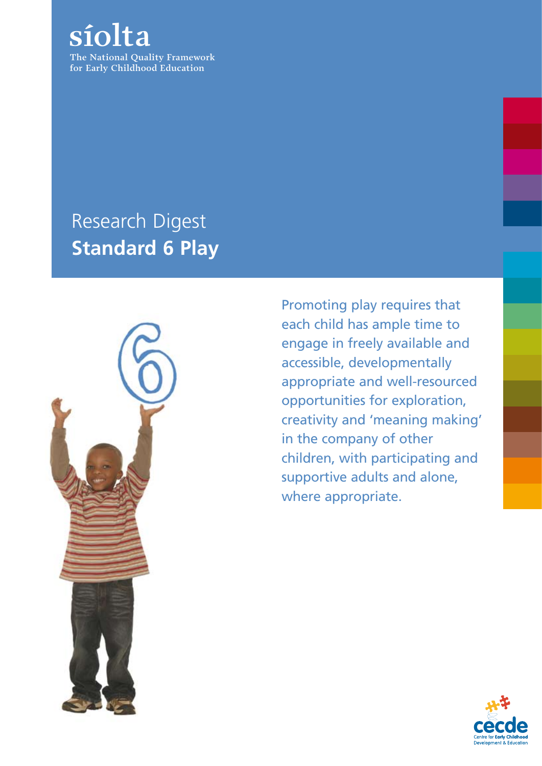**The National Quality Framework for Early Childhood Education síolta**

### Research Digest **Standard 6 Play**



Promoting play requires that each child has ample time to engage in freely available and accessible, developmentally appropriate and well-resourced opportunities for exploration, creativity and 'meaning making' in the company of other children, with participating and supportive adults and alone, where appropriate.

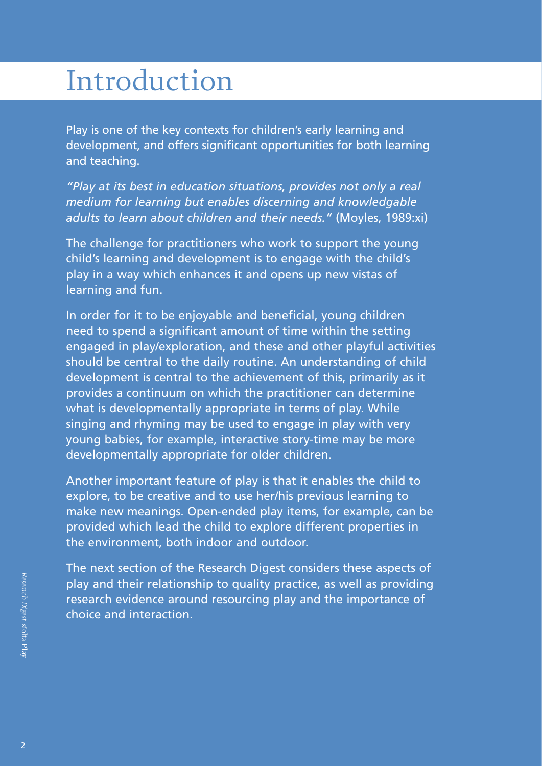## Introduction

Play is one of the key contexts for children's early learning and development, and offers significant opportunities for both learning and teaching.

*"Play at its best in education situations, provides not only a real medium for learning but enables discerning and knowledgable adults to learn about children and their needs."* (Moyles, 1989:xi)

The challenge for practitioners who work to support the young child's learning and development is to engage with the child's play in a way which enhances it and opens up new vistas of learning and fun.

In order for it to be enjoyable and beneficial, young children need to spend a significant amount of time within the setting engaged in play/exploration, and these and other playful activities should be central to the daily routine. An understanding of child development is central to the achievement of this, primarily as it provides a continuum on which the practitioner can determine what is developmentally appropriate in terms of play. While singing and rhyming may be used to engage in play with very young babies, for example, interactive story-time may be more developmentally appropriate for older children.

Another important feature of play is that it enables the child to explore, to be creative and to use her/his previous learning to make new meanings. Open-ended play items, for example, can be provided which lead the child to explore different properties in the environment, both indoor and outdoor.

The next section of the Research Digest considers these aspects of play and their relationship to quality practice, as well as providing research evidence around resourcing play and the importance of choice and interaction.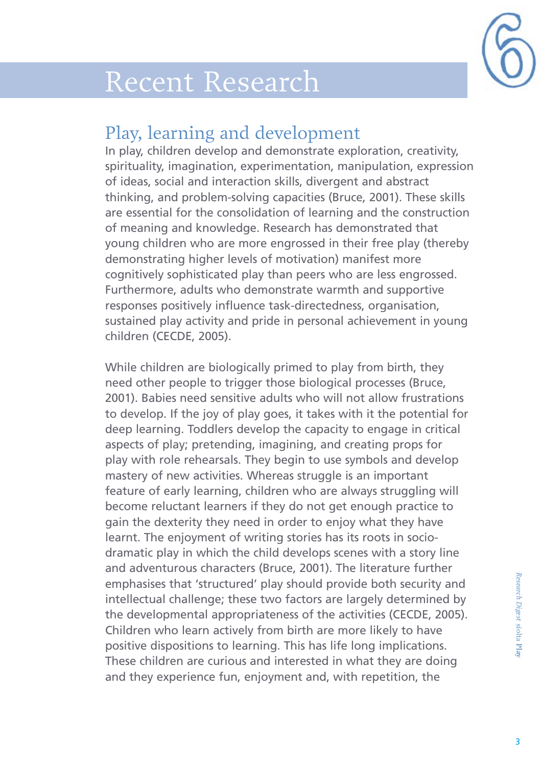

## Recent Research

#### Play, learning and development

In play, children develop and demonstrate exploration, creativity, spirituality, imagination, experimentation, manipulation, expression of ideas, social and interaction skills, divergent and abstract thinking, and problem-solving capacities (Bruce, 2001). These skills are essential for the consolidation of learning and the construction of meaning and knowledge. Research has demonstrated that young children who are more engrossed in their free play (thereby demonstrating higher levels of motivation) manifest more cognitively sophisticated play than peers who are less engrossed. Furthermore, adults who demonstrate warmth and supportive responses positively influence task-directedness, organisation, sustained play activity and pride in personal achievement in young children (CECDE, 2005).

While children are biologically primed to play from birth, they need other people to trigger those biological processes (Bruce, 2001). Babies need sensitive adults who will not allow frustrations to develop. If the joy of play goes, it takes with it the potential for deep learning. Toddlers develop the capacity to engage in critical aspects of play; pretending, imagining, and creating props for play with role rehearsals. They begin to use symbols and develop mastery of new activities. Whereas struggle is an important feature of early learning, children who are always struggling will become reluctant learners if they do not get enough practice to gain the dexterity they need in order to enjoy what they have learnt. The enjoyment of writing stories has its roots in sociodramatic play in which the child develops scenes with a story line and adventurous characters (Bruce, 2001). The literature further emphasises that 'structured' play should provide both security and intellectual challenge; these two factors are largely determined by the developmental appropriateness of the activities (CECDE, 2005). Children who learn actively from birth are more likely to have positive dispositions to learning. This has life long implications. These children are curious and interested in what they are doing and they experience fun, enjoyment and, with repetition, the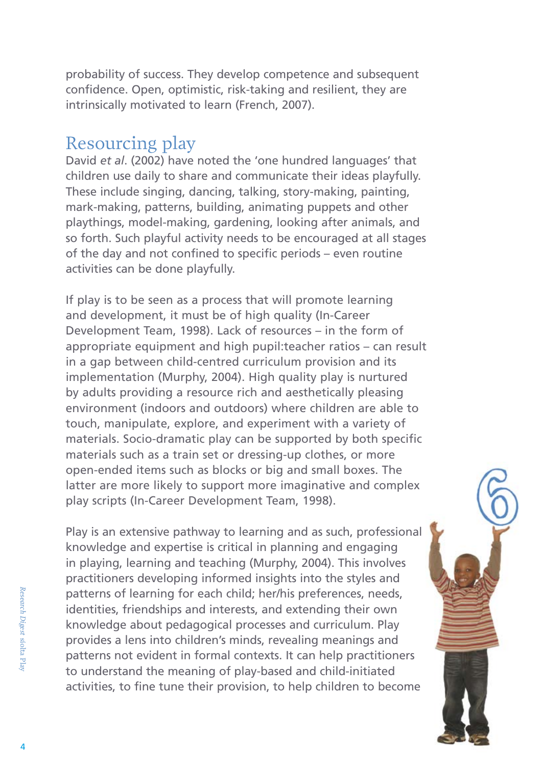probability of success. They develop competence and subsequent confidence. Open, optimistic, risk-taking and resilient, they are intrinsically motivated to learn (French, 2007).

#### Resourcing play

David *et al*. (2002) have noted the 'one hundred languages' that children use daily to share and communicate their ideas playfully. These include singing, dancing, talking, story-making, painting, mark-making, patterns, building, animating puppets and other playthings, model-making, gardening, looking after animals, and so forth. Such playful activity needs to be encouraged at all stages of the day and not confined to specific periods – even routine activities can be done playfully.

If play is to be seen as a process that will promote learning and development, it must be of high quality (In-Career Development Team, 1998). Lack of resources – in the form of appropriate equipment and high pupil:teacher ratios – can result in a gap between child-centred curriculum provision and its implementation (Murphy, 2004). High quality play is nurtured by adults providing a resource rich and aesthetically pleasing environment (indoors and outdoors) where children are able to touch, manipulate, explore, and experiment with a variety of materials. Socio-dramatic play can be supported by both specific materials such as a train set or dressing-up clothes, or more open-ended items such as blocks or big and small boxes. The latter are more likely to support more imaginative and complex play scripts (In-Career Development Team, 1998).

Play is an extensive pathway to learning and as such, professional knowledge and expertise is critical in planning and engaging in playing, learning and teaching (Murphy, 2004). This involves practitioners developing informed insights into the styles and patterns of learning for each child; her/his preferences, needs, identities, friendships and interests, and extending their own knowledge about pedagogical processes and curriculum. Play provides a lens into children's minds, revealing meanings and patterns not evident in formal contexts. It can help practitioners to understand the meaning of play-based and child-initiated activities, to fine tune their provision, to help children to become

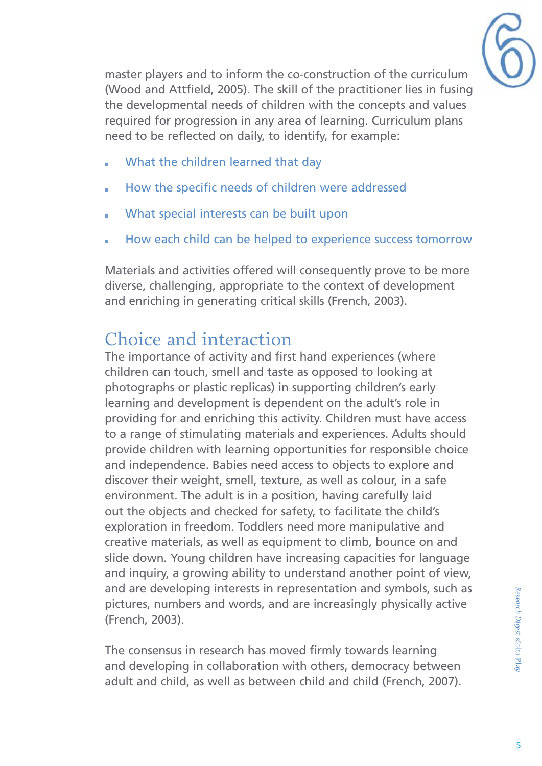

master players and to inform the co-construction of the curriculum (Wood and Attfield, 2005). The skill of the practitioner lies in fusing the developmental needs of children with the concepts and values required for progression in any area of learning. Curriculum plans need to be reflected on daily, to identify, for example:

- What the children learned that day
- How the specific needs of children were addressed
- What special interests can be built upon
- How each child can be helped to experience success tomorrow

Materials and activities offered will consequently prove to be more diverse, challenging, appropriate to the context of development and enriching in generating critical skills (French, 2003).

#### Choice and interaction

The importance of activity and first hand experiences (where children can touch, smell and taste as opposed to looking at photographs or plastic replicas) in supporting children's early learning and development is dependent on the adult's role in providing for and enriching this activity. Children must have access to a range of stimulating materials and experiences. Adults should provide children with learning opportunities for responsible choice and independence. Babies need access to objects to explore and discover their weight, smell, texture, as well as colour, in a safe environment. The adult is in a position, having carefully laid out the objects and checked for safety, to facilitate the child's exploration in freedom. Toddlers need more manipulative and creative materials, as well as equipment to climb, bounce on and slide down. Young children have increasing capacities for language and inquiry, a growing ability to understand another point of view, and are developing interests in representation and symbols, such as pictures, numbers and words, and are increasingly physically active (French, 2003).

The consensus in research has moved firmly towards learning and developing in collaboration with others, democracy between adult and child, as well as between child and child (French, 2007).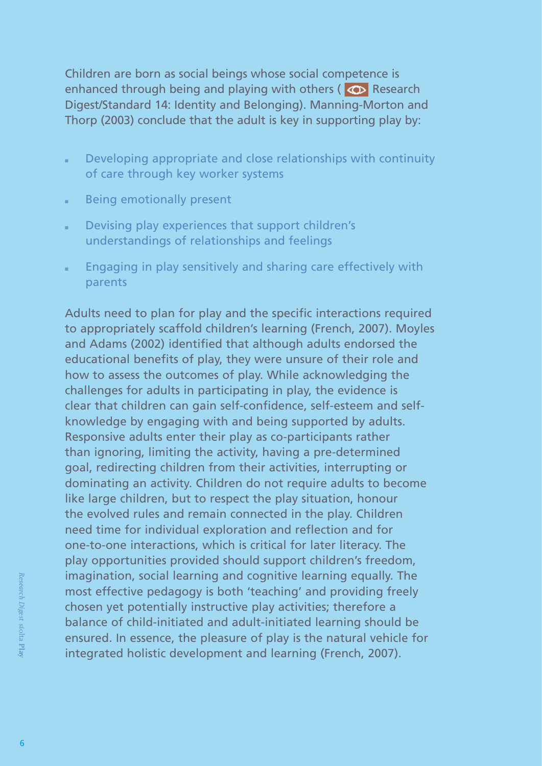Children are born as social beings whose social competence is enhanced through being and playing with others ( $\bullet$  Research Digest/Standard 14: Identity and Belonging). Manning-Morton and Thorp (2003) conclude that the adult is key in supporting play by:

- **Developing appropriate and close relationships with continuity** of care through key worker systems
- **Being emotionally present**
- Devising play experiences that support children's understandings of relationships and feelings
- **Engaging in play sensitively and sharing care effectively with** parents

Adults need to plan for play and the specific interactions required to appropriately scaffold children's learning (French, 2007). Moyles and Adams (2002) identified that although adults endorsed the educational benefits of play, they were unsure of their role and how to assess the outcomes of play. While acknowledging the challenges for adults in participating in play, the evidence is clear that children can gain self-confidence, self-esteem and selfknowledge by engaging with and being supported by adults. Responsive adults enter their play as co-participants rather than ignoring, limiting the activity, having a pre-determined goal, redirecting children from their activities, interrupting or dominating an activity. Children do not require adults to become like large children, but to respect the play situation, honour the evolved rules and remain connected in the play. Children need time for individual exploration and reflection and for one-to-one interactions, which is critical for later literacy. The play opportunities provided should support children's freedom, imagination, social learning and cognitive learning equally. The most effective pedagogy is both 'teaching' and providing freely chosen yet potentially instructive play activities; therefore a balance of child-initiated and adult-initiated learning should be ensured. In essence, the pleasure of play is the natural vehicle for integrated holistic development and learning (French, 2007).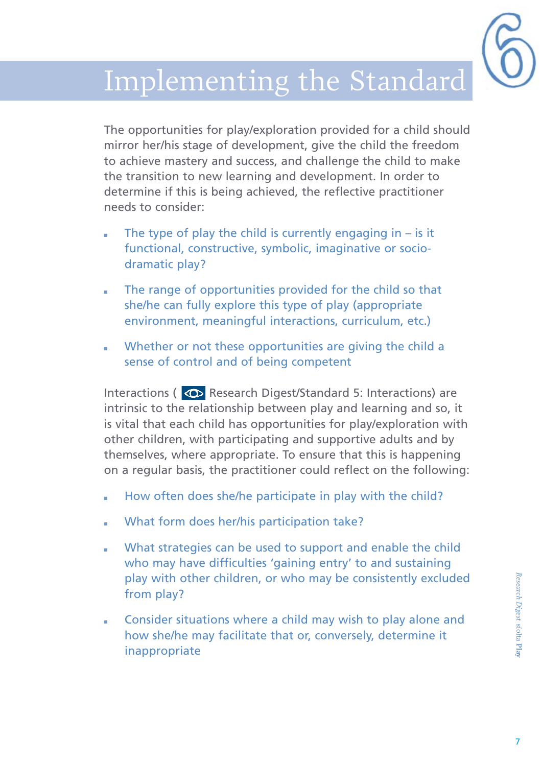# Implementing the Standard

The opportunities for play/exploration provided for a child should mirror her/his stage of development, give the child the freedom to achieve mastery and success, and challenge the child to make the transition to new learning and development. In order to determine if this is being achieved, the reflective practitioner needs to consider:

- The type of play the child is currently engaging in  $-$  is it functional, constructive, symbolic, imaginative or sociodramatic play?
- **The range of opportunities provided for the child so that** she/he can fully explore this type of play (appropriate environment, meaningful interactions, curriculum, etc.)
- Whether or not these opportunities are giving the child a sense of control and of being competent

Interactions ( $\overline{\bullet}$  Research Digest/Standard 5: Interactions) are intrinsic to the relationship between play and learning and so, it is vital that each child has opportunities for play/exploration with other children, with participating and supportive adults and by themselves, where appropriate. To ensure that this is happening on a regular basis, the practitioner could reflect on the following:

- How often does she/he participate in play with the child?
- What form does her/his participation take?
- What strategies can be used to support and enable the child who may have difficulties 'gaining entry' to and sustaining play with other children, or who may be consistently excluded from play?
- **EXECONS** Consider situations where a child may wish to play alone and how she/he may facilitate that or, conversely, determine it inappropriate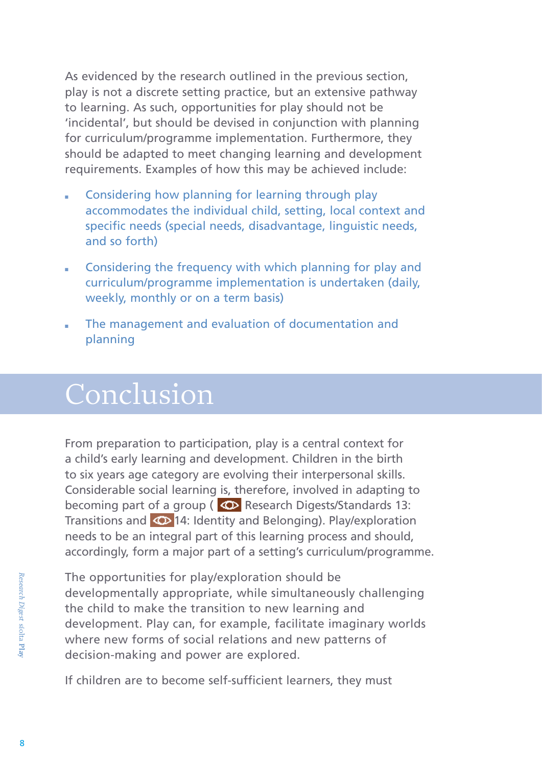As evidenced by the research outlined in the previous section, play is not a discrete setting practice, but an extensive pathway to learning. As such, opportunities for play should not be 'incidental', but should be devised in conjunction with planning for curriculum/programme implementation. Furthermore, they should be adapted to meet changing learning and development requirements. Examples of how this may be achieved include:

- Considering how planning for learning through play accommodates the individual child, setting, local context and specific needs (special needs, disadvantage, linguistic needs, and so forth)
- **EXECONS** Considering the frequency with which planning for play and curriculum/programme implementation is undertaken (daily, weekly, monthly or on a term basis)
- The management and evaluation of documentation and planning

## Conclusion

From preparation to participation, play is a central context for a child's early learning and development. Children in the birth to six years age category are evolving their interpersonal skills. Considerable social learning is, therefore, involved in adapting to becoming part of a group ( $\bigcirc$  Research Digests/Standards 13: Transitions and 14: Identity and Belonging). Play/exploration needs to be an integral part of this learning process and should, accordingly, form a major part of a setting's curriculum/programme.

The opportunities for play/exploration should be developmentally appropriate, while simultaneously challenging the child to make the transition to new learning and development. Play can, for example, facilitate imaginary worlds where new forms of social relations and new patterns of decision-making and power are explored.

If children are to become self-sufficient learners, they must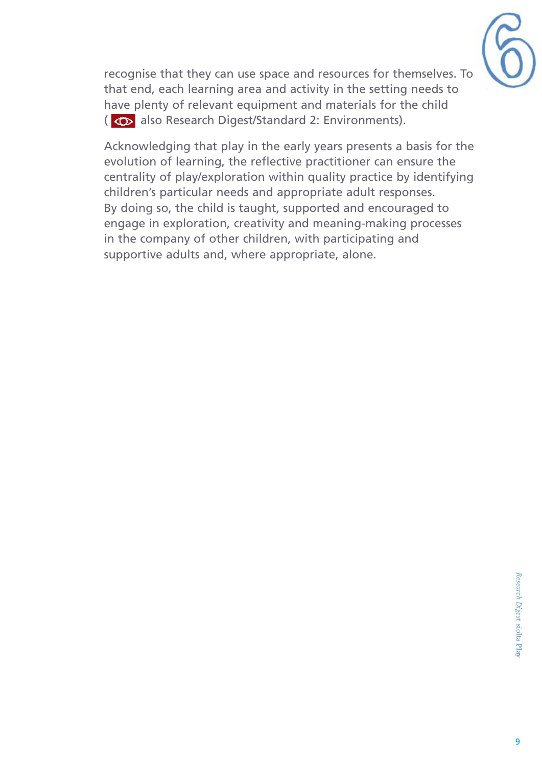

recognise that they can use space and resources for themselves. To that end, each learning area and activity in the setting needs to have plenty of relevant equipment and materials for the child ( $\bullet$  also Research Digest/Standard 2: Environments).

Acknowledging that play in the early years presents a basis for the evolution of learning, the reflective practitioner can ensure the centrality of play/exploration within quality practice by identifying children's particular needs and appropriate adult responses. By doing so, the child is taught, supported and encouraged to engage in exploration, creativity and meaning-making processes in the company of other children, with participating and supportive adults and, where appropriate, alone.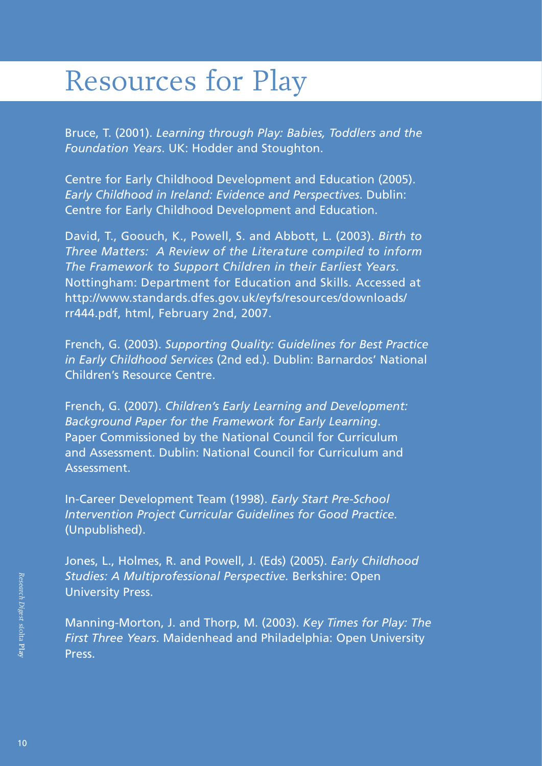## Resources for Play

Bruce, T. (2001). *Learning through Play: Babies, Toddlers and the Foundation Years*. UK: Hodder and Stoughton.

Centre for Early Childhood Development and Education (2005). *Early Childhood in Ireland: Evidence and Perspectives*. Dublin: Centre for Early Childhood Development and Education.

David, T., Goouch, K., Powell, S. and Abbott, L. (2003). *Birth to Three Matters: A Review of the Literature compiled to inform The Framework to Support Children in their Earliest Years*. Nottingham: Department for Education and Skills. Accessed at http://www.standards.dfes.gov.uk/eyfs/resources/downloads/ rr444.pdf, html, February 2nd, 2007.

French, G. (2003). *Supporting Quality: Guidelines for Best Practice in Early Childhood Services* (2nd ed.). Dublin: Barnardos' National Children's Resource Centre.

French, G. (2007). *Children's Early Learning and Development: Background Paper for the Framework for Early Learning*. Paper Commissioned by the National Council for Curriculum and Assessment. Dublin: National Council for Curriculum and **Assessment** 

In-Career Development Team (1998). *Early Start Pre-School Intervention Project Curricular Guidelines for Good Practice.* (Unpublished).

Jones, L., Holmes, R. and Powell, J. (Eds) (2005). *Early Childhood Studies: A Multiprofessional Perspective.* Berkshire: Open University Press.

Manning-Morton, J. and Thorp, M. (2003). *Key Times for Play: The First Three Years*. Maidenhead and Philadelphia: Open University **Press**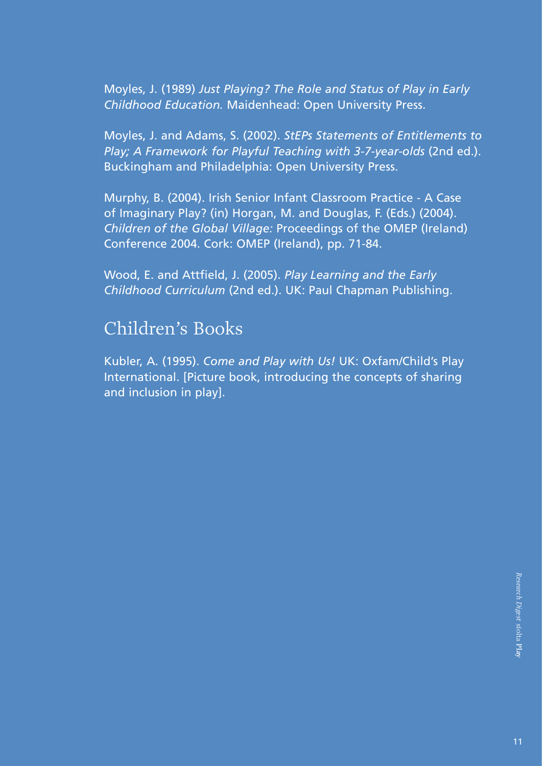Moyles, J. (1989) *Just Playing? The Role and Status of Play in Early Childhood Education.* Maidenhead: Open University Press.

Moyles, J. and Adams, S. (2002). *StEPs Statements of Entitlements to Play; A Framework for Playful Teaching with 3-7-year-olds* (2nd ed.). Buckingham and Philadelphia: Open University Press.

Murphy, B. (2004). Irish Senior Infant Classroom Practice - A Case of Imaginary Play? (in) Horgan, M. and Douglas, F. (Eds.) (2004). *Children of the Global Village:* Proceedings of the OMEP (Ireland) Conference 2004. Cork: OMEP (Ireland), pp. 71-84.

Wood, E. and Attfield, J. (2005). *Play Learning and the Early Childhood Curriculum* (2nd ed.). UK: Paul Chapman Publishing.

#### Children's Books

Kubler, A. (1995). *Come and Play with Us!* UK: Oxfam/Child's Play International. [Picture book, introducing the concepts of sharing and inclusion in play].